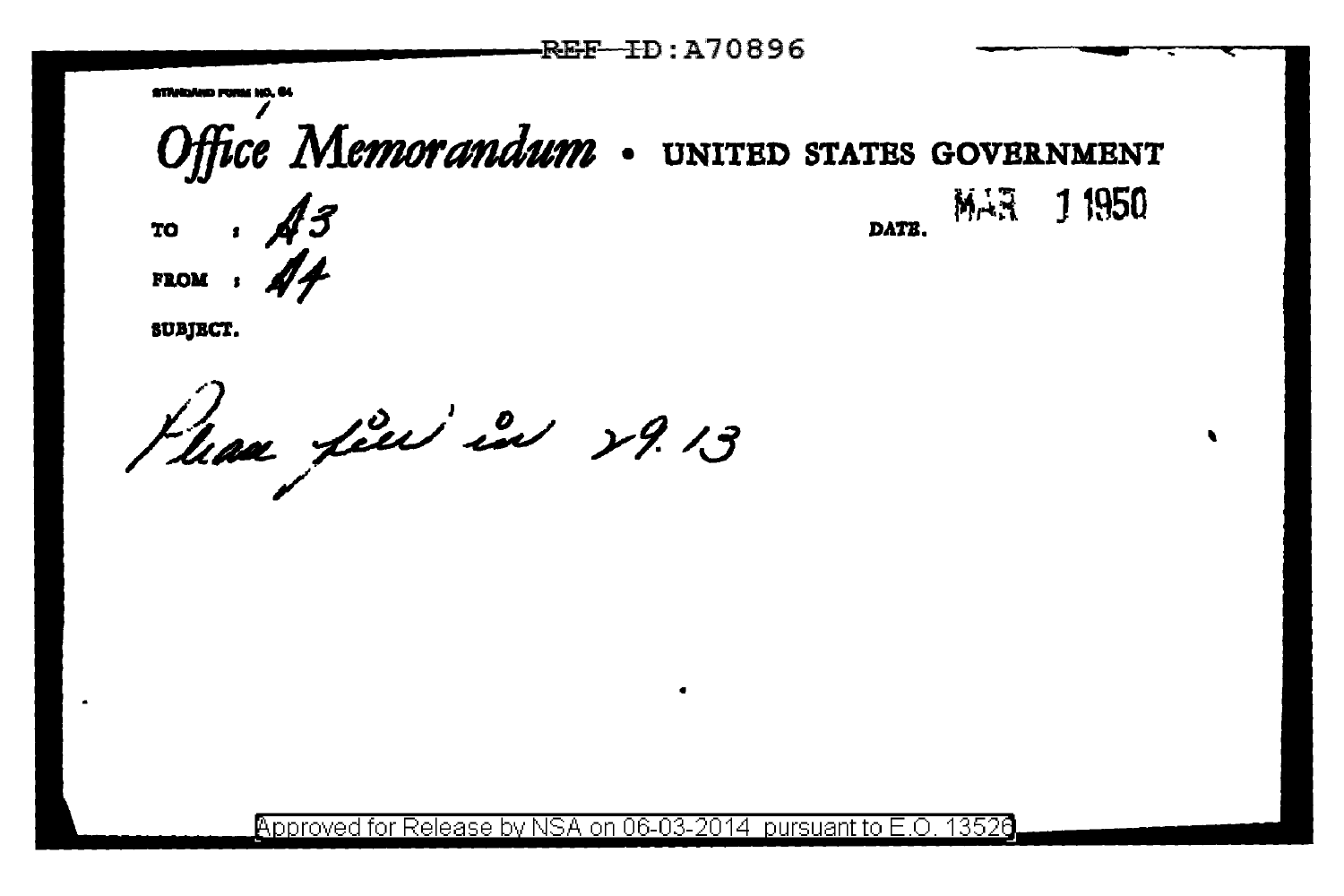

SUBJECT.

Phan fin in 29.13

Approved for Release by NSA on 06-03-2014 pursuant to E.O. 13526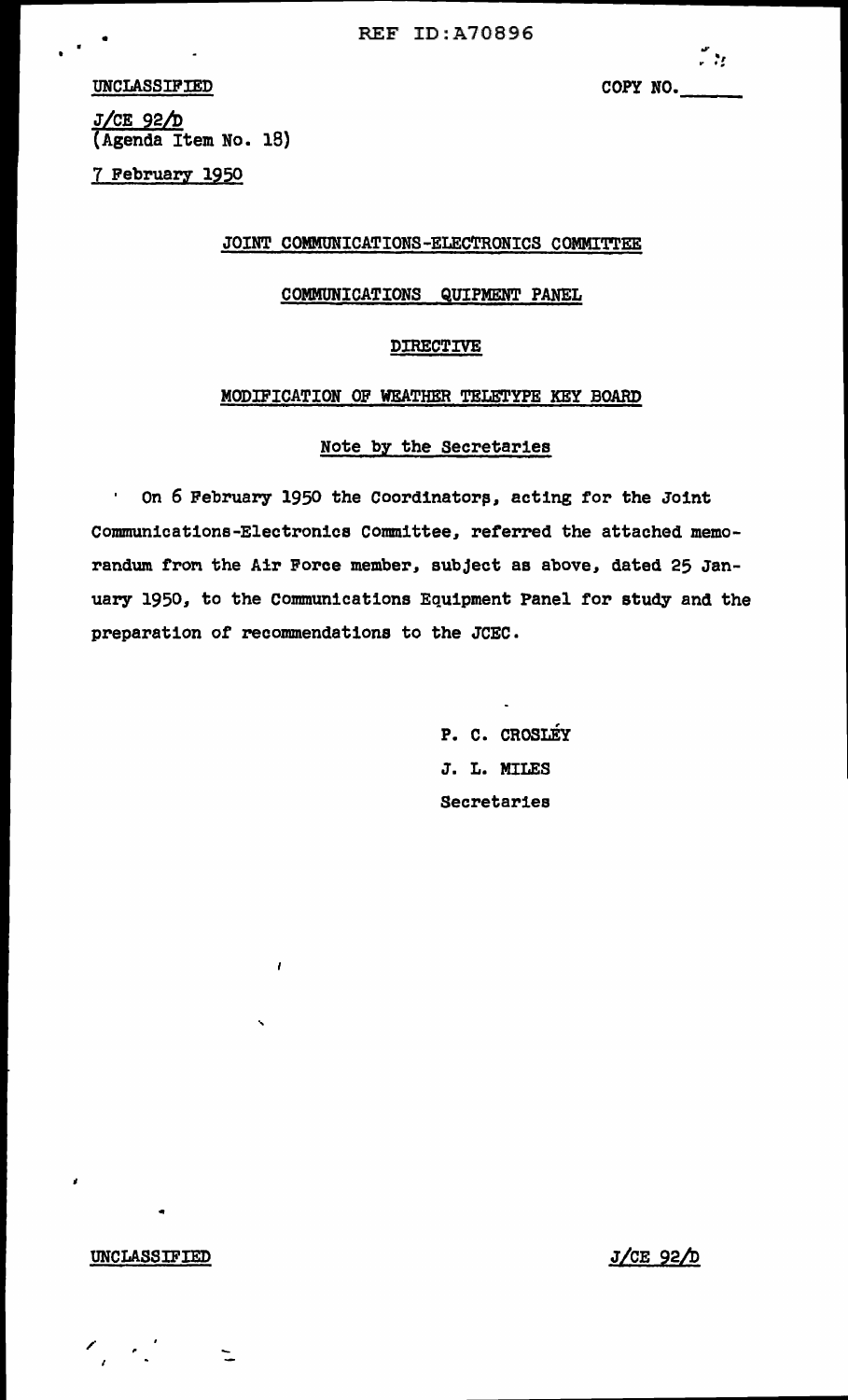UNCLASSIFIED

 $\overline{\cdots}$ :<br>COPY NO.

J/CE 92/D (Agenda Item No. 18)

7 February 1950

JOINT COMMUNICATIONS-ELECTRONICS COMMITTEE

## COMMUNICATIONS QUIPMENT PANEL

### DIRECTIVE

#### MODIFICATION OF WEATHER TELETYPE KEY BOARD

# Note by the Secretaries

On 6 February 1950 the Coordinators, acting for the Joint  $\blacksquare$ communications-Electronics committee, referred the attached memorandum from the Air Force member, subject as above, dated 25 January 1950, to the Connnunications Equipment Panel for study and the preparation of recommendations to the JCEC.

> P. C. CROSLEY J. L. MILES Secretaries

#### UNCLASSIFIED

 $\mathscr{O}_\mu$  ,  $\mathscr{O}_\mu$ 

...

 $\overline{\phantom{a}}$ 

 $\mathbf{r}$ 

J/CE 92/D